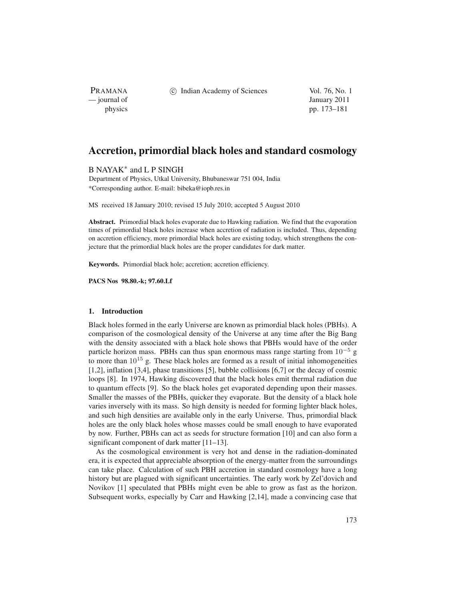PRAMANA<br>
— journal of

(c) Indian Academy of Sciences Vol. 76, No. 1

January 2011 physics pp. 173–181

# **Accretion, primordial black holes and standard cosmology**

B NAYAK∗ and L P SINGH

Department of Physics, Utkal University, Bhubaneswar 751 004, India \*Corresponding author. E-mail: bibeka@iopb.res.in

MS received 18 January 2010; revised 15 July 2010; accepted 5 August 2010

**Abstract.** Primordial black holes evaporate due to Hawking radiation. We find that the evaporation times of primordial black holes increase when accretion of radiation is included. Thus, depending on accretion efficiency, more primordial black holes are existing today, which strengthens the conjecture that the primordial black holes are the proper candidates for dark matter.

**Keywords.** Primordial black hole; accretion; accretion efficiency.

**PACS Nos 98.80.-k; 97.60.Lf**

## **1. Introduction**

Black holes formed in the early Universe are known as primordial black holes (PBHs). A comparison of the cosmological density of the Universe at any time after the Big Bang with the density associated with a black hole shows that PBHs would have of the order particle horizon mass. PBHs can thus span enormous mass range starting from  $10^{-5}$  g to more than  $10^{15}$  g. These black holes are formed as a result of initial inhomogeneities [1,2], inflation [3,4], phase transitions [5], bubble collisions [6,7] or the decay of cosmic loops [8]. In 1974, Hawking discovered that the black holes emit thermal radiation due to quantum effects [9]. So the black holes get evaporated depending upon their masses. Smaller the masses of the PBHs, quicker they evaporate. But the density of a black hole varies inversely with its mass. So high density is needed for forming lighter black holes, and such high densities are available only in the early Universe. Thus, primordial black holes are the only black holes whose masses could be small enough to have evaporated by now. Further, PBHs can act as seeds for structure formation [10] and can also form a significant component of dark matter [11–13].

As the cosmological environment is very hot and dense in the radiation-dominated era, it is expected that appreciable absorption of the energy-matter from the surroundings can take place. Calculation of such PBH accretion in standard cosmology have a long history but are plagued with significant uncertainties. The early work by Zel'dovich and Novikov [1] speculated that PBHs might even be able to grow as fast as the horizon. Subsequent works, especially by Carr and Hawking [2,14], made a convincing case that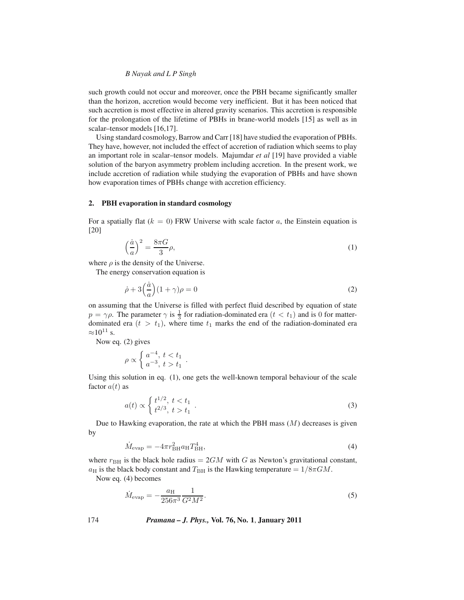## *B Nayak and L P Singh*

such growth could not occur and moreover, once the PBH became significantly smaller than the horizon, accretion would become very inefficient. But it has been noticed that such accretion is most effective in altered gravity scenarios. This accretion is responsible for the prolongation of the lifetime of PBHs in brane-world models [15] as well as in scalar–tensor models [16,17].

Using standard cosmology, Barrow and Carr [18] have studied the evaporation of PBHs. They have, however, not included the effect of accretion of radiation which seems to play an important role in scalar–tensor models. Majumdar *et al* [19] have provided a viable solution of the baryon asymmetry problem including accretion. In the present work, we include accretion of radiation while studying the evaporation of PBHs and have shown how evaporation times of PBHs change with accretion efficiency.

## **2. PBH evaporation in standard cosmology**

For a spatially flat  $(k = 0)$  FRW Universe with scale factor a, the Einstein equation is [20]

$$
\left(\frac{\dot{a}}{a}\right)^2 = \frac{8\pi G}{3}\rho,\tag{1}
$$

where  $\rho$  is the density of the Universe.

The energy conservation equation is

$$
\dot{\rho} + 3\left(\frac{\dot{a}}{a}\right)(1+\gamma)\rho = 0\tag{2}
$$

on assuming that the Universe is filled with perfect fluid described by equation of state  $p = \gamma \rho$ . The parameter  $\gamma$  is  $\frac{1}{3}$  for radiation-dominated era  $(t < t_1)$  and is 0 for matter-<br>dominated era  $(t > t_1)$  where time t<sub>r</sub> marks the end of the radiation-dominated era dominated era  $(t > t_1)$ , where time  $t_1$  marks the end of the radiation-dominated era  $\approx 10^{11}$  s.

Now eq. (2) gives

$$
\rho \propto \left\{ \frac{a^{-4}}{a^{-3}}, \frac{t < t_1}{t > t_1} \right\}.
$$

Using this solution in eq. (1), one gets the well-known temporal behaviour of the scale factor  $a(t)$  as

$$
a(t) \propto \begin{cases} t^{1/2}, \ t < t_1 \\ t^{2/3}, \ t > t_1 \end{cases} . \tag{3}
$$

Due to Hawking evaporation, the rate at which the PBH mass  $(M)$  decreases is given by

$$
\dot{M}_{\text{evap}} = -4\pi r_{\text{BH}}^2 a_{\text{H}} T_{\text{BH}}^4,\tag{4}
$$

where  $r_{\text{BH}}$  is the black hole radius =  $2GM$  with G as Newton's gravitational constant,  $a_H$  is the black body constant and  $T_{BH}$  is the Hawking temperature  $= 1/8\pi GM$ .

Now eq. (4) becomes

$$
\dot{M}_{\rm evap} = -\frac{a_{\rm H}}{256\pi^3} \frac{1}{G^2 M^2}.
$$
\n(5)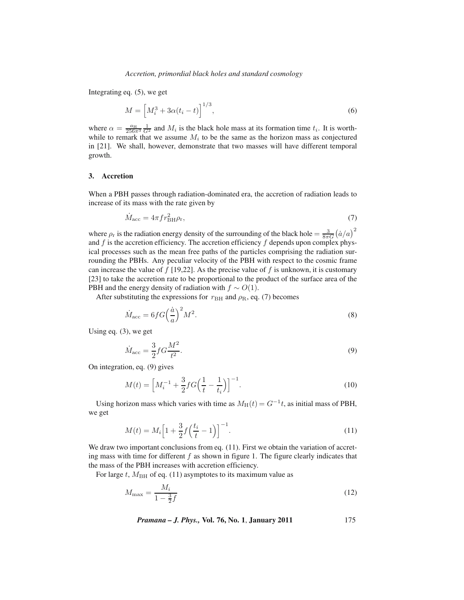Integrating eq. (5), we get

$$
M = \left[ M_i^3 + 3\alpha (t_i - t) \right]^{1/3},\tag{6}
$$

where  $\alpha = \frac{a_H}{256\pi^3} \frac{1}{G^2}$  and  $M_i$  is the black hole mass at its formation time  $t_i$ . It is worth-<br>while to remark that we assume M: to be the same as the horizon mass as conjectured while to remark that we assume  $M_i$  to be the same as the horizon mass as conjectured in [21]. We shall, however, demonstrate that two masses will have different temporal growth.

## **3. Accretion**

When a PBH passes through radiation-dominated era, the accretion of radiation leads to increase of its mass with the rate given by

$$
\dot{M}_{\text{acc}} = 4\pi f r_{\text{BH}}^2 \rho_{\text{r}},\tag{7}
$$

where  $\rho_r$  is the radiation energy density of the surrounding of the black hole  $=\frac{3}{8\pi G}(\dot{a}/a)^2$ <br>and f is the accretion efficiency. The accretion efficiency f denends upon complex physand  $f$  is the accretion efficiency. The accretion efficiency  $f$  depends upon complex physical processes such as the mean free paths of the particles comprising the radiation surrounding the PBHs. Any peculiar velocity of the PBH with respect to the cosmic frame can increase the value of  $f$  [19,22]. As the precise value of  $f$  is unknown, it is customary [23] to take the accretion rate to be proportional to the product of the surface area of the PBH and the energy density of radiation with  $f \sim O(1)$ .

After substituting the expressions for  $r_{\text{BH}}$  and  $\rho_{\text{R}}$ , eq. (7) becomes

$$
\dot{M}_{\text{acc}} = 6fG\left(\frac{\dot{a}}{a}\right)^2 M^2. \tag{8}
$$

Using eq. (3), we get

$$
\dot{M}_{\text{acc}} = \frac{3}{2} f G \frac{M^2}{t^2}.
$$
\n
$$
(9)
$$

2 On integration, eq. (9) gives

$$
M(t) = \left[ M_i^{-1} + \frac{3}{2} f G \left( \frac{1}{t} - \frac{1}{t_i} \right) \right]^{-1}.
$$
 (10)

Using horizon mass which varies with time as  $M_H(t) = G^{-1}t$ , as initial mass of PBH, we get

$$
M(t) = M_i \left[ 1 + \frac{3}{2} f \left( \frac{t_i}{t} - 1 \right) \right]^{-1}.
$$
\n(11)

We draw two important conclusions from eq. (11). First we obtain the variation of accreting mass with time for different  $f$  as shown in figure 1. The figure clearly indicates that the mass of the PBH increases with accretion efficiency.

For large t,  $M<sub>BH</sub>$  of eq. (11) asymptotes to its maximum value as

$$
M_{\text{max}} = \frac{M_i}{1 - \frac{3}{2}f} \tag{12}
$$

*Pramana – J. Phys.,* **Vol. 76, No. 1**, **January 2011** 175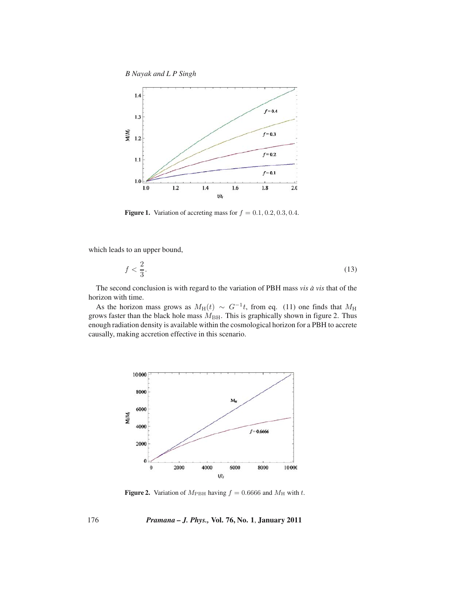*B Nayak and L P Singh*



**Figure 1.** Variation of accreting mass for  $f = 0.1, 0.2, 0.3, 0.4$ .

which leads to an upper bound,

$$
f < \frac{2}{3}.\tag{13}
$$

The second conclusion is with regard to the variation of PBH mass *vis*  $\dot{a}$  *vis* that of the horizon with time.

As the horizon mass grows as  $M_H(t) \sim G^{-1}t$ , from eq. (11) one finds that  $M_H$  grows faster than the black hole mass  $M_{\text{BH}}$ . This is graphically shown in figure 2. Thus enough radiation density is available within the cosmological horizon for a PBH to accrete causally, making accretion effective in this scenario.



**Figure 2.** Variation of  $M_{\text{PBH}}$  having  $f = 0.6666$  and  $M_{\text{H}}$  with t.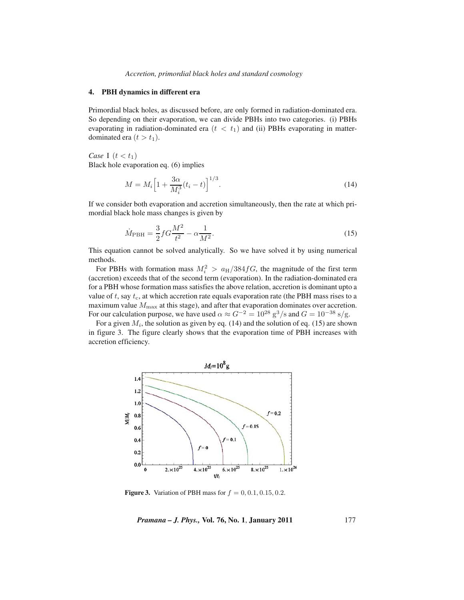*Accretion, primordial black holes and standard cosmology*

### **4. PBH dynamics in different era**

Primordial black holes, as discussed before, are only formed in radiation-dominated era. So depending on their evaporation, we can divide PBHs into two categories. (i) PBHs evaporating in radiation-dominated era  $(t < t_1)$  and (ii) PBHs evaporating in matterdominated era  $(t > t<sub>1</sub>)$ .

*Case* I  $(t < t_1)$ Black hole evaporation eq. (6) implies

$$
M = M_i \left[ 1 + \frac{3\alpha}{M_i^3} (t_i - t) \right]^{1/3}.
$$
\n(14)

If we consider both evaporation and accretion simultaneously, then the rate at which primordial black hole mass changes is given by

$$
\dot{M}_{\rm PBH} = \frac{3}{2} f G \frac{M^2}{t^2} - \alpha \frac{1}{M^2}.
$$
\n(15)

This equation cannot be solved analytically. So we have solved it by using numerical methods.

For PBHs with formation mass  $M_i^2 > a_H/384fG$ , the magnitude of the first term<br>ceretion) exceeds that of the second term (evanoration). In the radiation-dominated era (accretion) exceeds that of the second term (evaporation). In the radiation-dominated era for a PBH whose formation mass satisfies the above relation, accretion is dominant upto a value of  $t$ , say  $t_c$ , at which accretion rate equals evaporation rate (the PBH mass rises to a maximum value  $M_{\text{max}}$  at this stage), and after that evaporation dominates over accretion. For our calculation purpose, we have used  $\alpha \approx G^{-2} = 10^{28} \text{ g}^3/\text{s}$  and  $G = 10^{-38} \text{ s/g}$ .

For a given  $M_i$ , the solution as given by eq. (14) and the solution of eq. (15) are shown in figure 3. The figure clearly shows that the evaporation time of PBH increases with accretion efficiency.



**Figure 3.** Variation of PBH mass for  $f = 0, 0.1, 0.15, 0.2$ .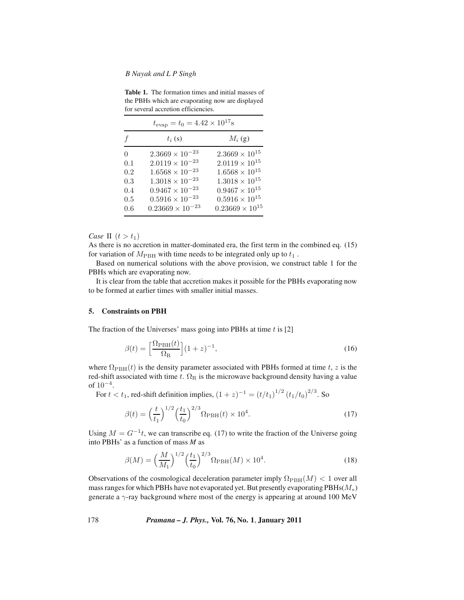#### *B Nayak and L P Singh*

**Table 1.** The formation times and initial masses of the PBHs which are evaporating now are displayed for several accretion efficiencies.

| f   | $t_i(s)$                  | $M_i$ (g)                |
|-----|---------------------------|--------------------------|
| 0   | $2.3669 \times 10^{-23}$  | $2.3669 \times 10^{15}$  |
| 0.1 | $2.0119\times10^{-23}$    | $2.0119\times10^{15}$    |
| 0.2 | $1.6568 \times 10^{-23}$  | $1.6568\times10^{15}$    |
| 0.3 | $1.3018 \times 10^{-23}$  | $1.3018 \times 10^{15}$  |
| 0.4 | $0.9467\times10^{-23}$    | $0.9467 \times 10^{15}$  |
| 0.5 | $0.5916 \times 10^{-23}$  | $0.5916 \times 10^{15}$  |
| 0.6 | $0.23669 \times 10^{-23}$ | $0.23669 \times 10^{15}$ |

*Case* II  $(t > t_1)$ 

As there is no accretion in matter-dominated era, the first term in the combined eq. (15) for variation of  $M_{\rm PBH}$  with time needs to be integrated only up to  $t_1$ .

Based on numerical solutions with the above provision, we construct table 1 for the PBHs which are evaporating now.

It is clear from the table that accretion makes it possible for the PBHs evaporating now to be formed at earlier times with smaller initial masses.

### **5. Constraints on PBH**

The fraction of the Universes' mass going into PBHs at time  $t$  is [2]

$$
\beta(t) = \left[\frac{\Omega_{\rm PBH}(t)}{\Omega_{\rm R}}\right](1+z)^{-1},\tag{16}
$$

where  $\Omega_{\text{PBH}}(t)$  is the density parameter associated with PBHs formed at time t, z is the red-shift associated with time t.  $\Omega_R$  is the microwave background density having a value of  $10^{-4}$ .

For  $t < t_1$ , red-shift definition implies,  $(1 + z)^{-1} = (t/t_1)^{1/2} (t_1/t_0)^{2/3}$ . So

$$
\beta(t) = \left(\frac{t}{t_1}\right)^{1/2} \left(\frac{t_1}{t_0}\right)^{2/3} \Omega_{\rm PBH}(t) \times 10^4.
$$
\n(17)

Using  $M = G^{-1}t$ , we can transcribe eq. (17) to write the fraction of the Universe going into PBHs' as a function of mass *M* as

$$
\beta(M) = \left(\frac{M}{M_1}\right)^{1/2} \left(\frac{t_1}{t_0}\right)^{2/3} \Omega_{\rm PBH}(M) \times 10^4.
$$
 (18)

Observations of the cosmological deceleration parameter imply  $\Omega_{\rm PBH}(M) < 1$  over all mass ranges for which PBHs have not evaporated yet. But presently evaporating  $PBHs(M_*)$ generate a γ-ray background where most of the energy is appearing at around 100 MeV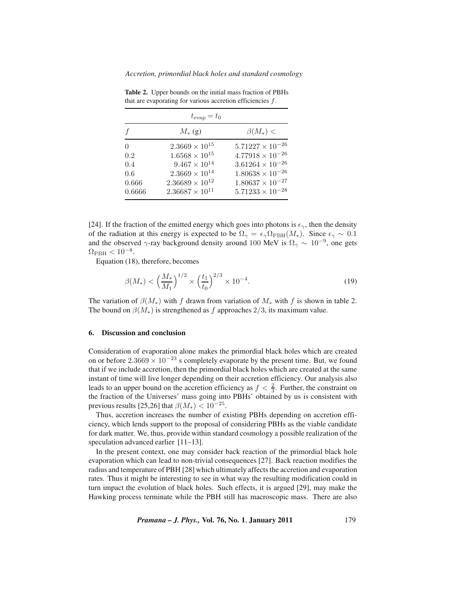| $t_{\rm evap} = t_0$ |                          |                           |
|----------------------|--------------------------|---------------------------|
|                      | $M_{*}$ (g)              | $\beta(M_*)$ <            |
| $\Omega$             | $2.3669 \times 10^{15}$  | $5.71227 \times 10^{-26}$ |
| 0.2                  | $1.6568\times10^{15}$    | $4.77918\times10^{-26}$   |
| 0.4                  | $9.467\times10^{14}$     | $3.61264 \times 10^{-26}$ |
| 0.6                  | $2.3669\times10^{14}$    | $1.80638\times10^{-26}$   |
| 0.666                | $2.36689\times 10^{12}$  | $1.80637\times10^{-27}$   |
| 0.6666               | $2.36687 \times 10^{11}$ | $5.71233\times10^{-28}$   |

**Table 2.** Upper bounds on the initial mass fraction of PBHs that are evaporating for various accretion efficiencies  $f$ .

[24]. If the fraction of the emitted energy which goes into photons is  $\epsilon_{\gamma}$ , then the density of the radiation at this energy is expected to be  $\Omega_{\gamma} = \epsilon_{\gamma} \Omega_{\rm PBH}(M_*)$ . Since  $\epsilon_{\gamma} \sim 0.1$ and the observed  $\gamma$ -ray background density around 100 MeV is  $\Omega_{\gamma} \sim 10^{-9}$ , one gets  $\Omega_{\rm PBH} < 10^{-8}$ .

Equation (18), therefore, becomes

$$
\beta(M_*) < \left(\frac{M_*}{M_1}\right)^{1/2} \times \left(\frac{t_1}{t_0}\right)^{2/3} \times 10^{-4}.\tag{19}
$$

The variation of  $\beta(M_*)$  with f drawn from variation of  $M_*$  with f is shown in table 2. The bound on  $\beta(M_*)$  is strengthened as f approaches 2/3, its maximum value.

## **6. Discussion and conclusion**

Consideration of evaporation alone makes the primordial black holes which are created on or before  $2.3669 \times 10^{-23}$  s completely evaporate by the present time. But, we found that if we include accretion, then the primordial black holes which are created at the same instant of time will live longer depending on their accretion efficiency. Our analysis also leads to an upper bound on the accretion efficiency as  $f < \frac{2}{3}$ . Further, the constraint on the fraction of the Universes' mass going into PBHs' obtained by us is consistent with previous results [25,26] that  $\beta(M_*) < 10^{-25}$ .

Thus, accretion increases the number of existing PBHs depending on accretion efficiency, which lends support to the proposal of considering PBHs as the viable candidate for dark matter. We, thus, provide within standard cosmology a possible realization of the speculation advanced earlier [11–13].

In the present context, one may consider back reaction of the primordial black hole evaporation which can lead to non-trivial consequences [27]. Back reaction modifies the radius and temperature of PBH [28] which ultimately affects the accretion and evaporation rates. Thus it might be interesting to see in what way the resulting modification could in turn impact the evolution of black holes. Such effects, it is argued [29], may make the Hawking process terminate while the PBH still has macroscopic mass. There are also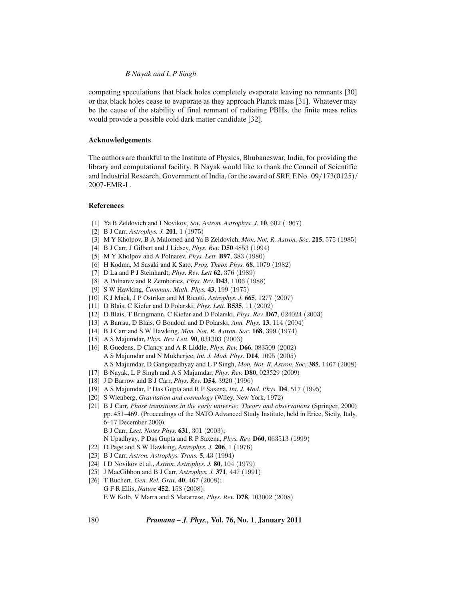## *B Nayak and L P Singh*

competing speculations that black holes completely evaporate leaving no remnants [30] or that black holes cease to evaporate as they approach Planck mass [31]. Whatever may be the cause of the stability of final remnant of radiating PBHs, the finite mass relics would provide a possible cold dark matter candidate [32].

## **Acknowledgements**

The authors are thankful to the Institute of Physics, Bhubaneswar, India, for providing the library and computational facility. B Nayak would like to thank the Council of Scientific and Industrial Research, Government of India, for the award of SRF, F.No. 09/173(0125)/ 2007-EMR-I .

#### **References**

- [1] Ya B Zeldovich and I Novikov, *Sov. Astron. Astrophys. J.* **10**, 602 (1967)
- [2] B J Carr, *Astrophys. J.* **201**, 1 (1975)
- [3] M Y Kholpov, B A Malomed and Ya B Zeldovich, *Mon. Not. R. Astron. Soc.* **215**, 575 (1985)
- [4] B J Carr, J Gilbert and J Lidsey, *Phys. Rev.* **D50** 4853 (1994)
- [5] M Y Kholpov and A Polnarev, *Phys. Lett.* **B97**, 383 (1980)
- [6] H Kodma, M Sasaki and K Sato, *Prog. Theor. Phys.* **68**, 1079 (1982)
- [7] D La and P J Steinhardt, *Phys. Rev. Lett* **62**, 376 (1989)
- [8] A Polnarev and R Zemboricz, *Phys. Rev.* **D43**, 1106 (1988)
- [9] S W Hawking, *Commun. Math. Phys.* **43**, 199 (1975)
- [10] K J Mack, J P Ostriker and M Ricotti, *Astrophys. J.* **665**, 1277 (2007)
- [11] D Blais, C Kiefer and D Polarski, *Phys. Lett.* **B535**, 11 (2002)
- [12] D Blais, T Bringmann, C Kiefer and D Polarski, *Phys. Rev.* **D67**, 024024 (2003)
- [13] A Barrau, D Blais, G Boudoul and D Polarski, *Ann. Phys.* **13**, 114 (2004)
- [14] B J Carr and S W Hawking, *Mon. Not. R. Astron. Soc.* **168**, 399 (1974)
- [15] A S Majumdar, *Phys. Rev. Lett.* **90**, 031303 (2003)
- [16] R Guedens, D Clancy and A R Liddle, *Phys. Rev.* **D66**, 083509 (2002) A S Majumdar and N Mukherjee, *Int. J. Mod. Phys.* **D14**, 1095 (2005) A S Majumdar, D Gangopadhyay and L P Singh, *Mon. Not. R. Astron. Soc.* **385**, 1467 (2008)
- [17] B Nayak, L P Singh and A S Majumdar, *Phys. Rev.* **D80**, 023529 (2009)
- [18] J D Barrow and B J Carr, *Phys. Rev.* **D54**, 3920 (1996)
- [19] A S Majumdar, P Das Gupta and R P Saxena, *Int. J. Mod. Phys.* **D4**, 517 (1995)
- [20] S Wienberg, *Gravitation and cosmology* (Wiley, New York, 1972)
- [21] B J Carr, *Phase transitions in the early universe: Theory and observations* (Springer, 2000) pp. 451–469. (Proceedings of the NATO Advanced Study Institute, held in Erice, Sicily, Italy, 6–17 December 2000). B J Carr, *Lect. Notes Phys.* **631**, 301 (2003);
	- N Upadhyay, P Das Gupta and R P Saxena, *Phys. Rev.* **D60**, 063513 (1999)
- [22] D Page and S W Hawking, *Astrophys. J.* **206**, 1 (1976)
- [23] B J Carr, *Astron. Astrophys. Trans.* **5**, 43 (1994)
- [24] I D Novikov et al., *Astron. Astrophys. J.* **80**, 104 (1979)
- [25] J MacGibbon and B J Carr, *Astrophys. J.* **371**, 447 (1991)
- [26] T Buchert, *Gen. Rel. Grav.* **40**, 467 (2008); G F R Ellis, *Nature* **452**, 158 (2008); E W Kolb, V Marra and S Matarrese, *Phys. Rev.* **D78**, 103002 (2008)